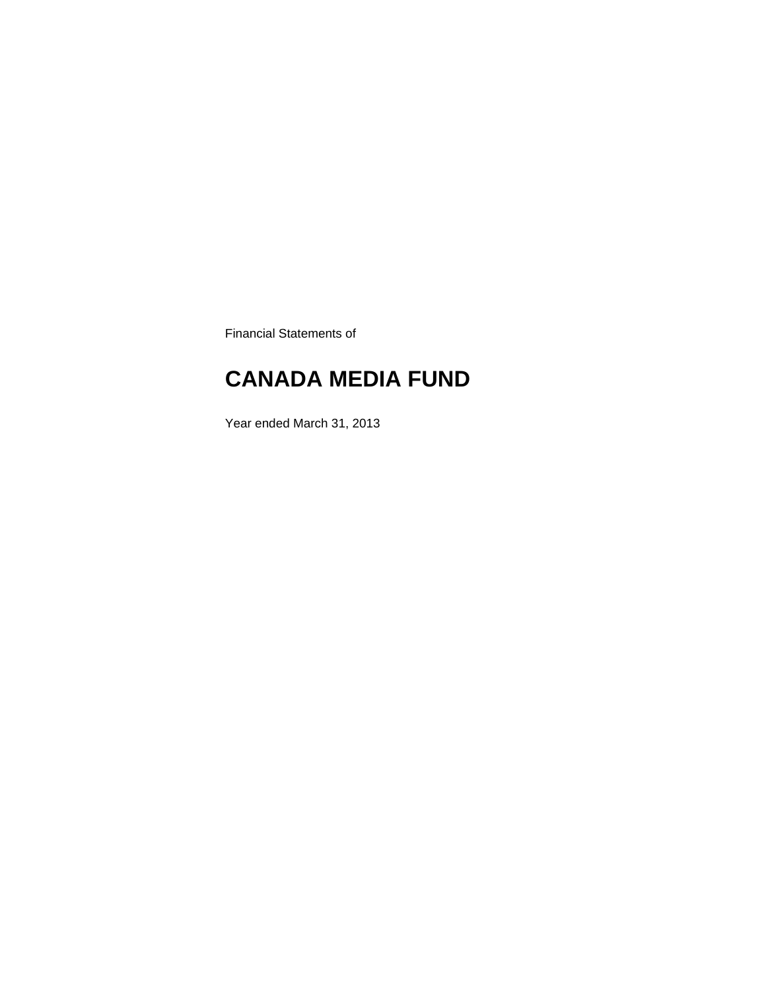Financial Statements of

# **CANADA MEDIA FUND**

Year ended March 31, 2013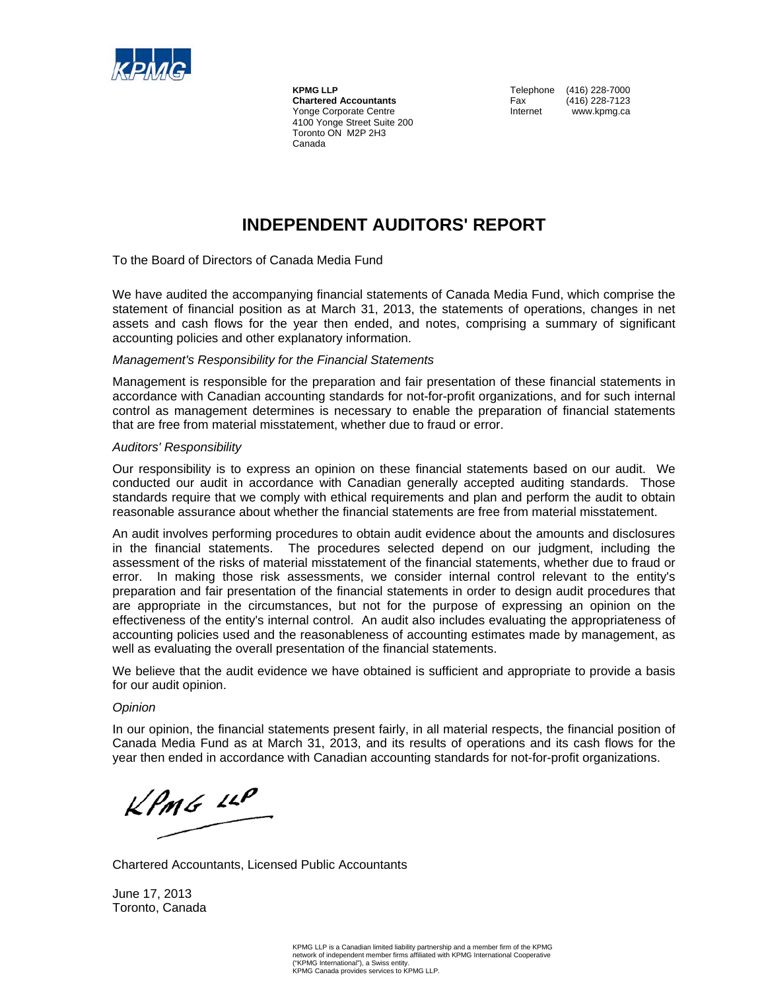

**KPMG LLP**<br> **Chartered Accountants**<br> **Chartered Accountants**<br> **Fax** (416) 228-7123 **Chartered Accountants Fax** Yonge Corporate Centre **Internet** Www.kpmg.ca 4100 Yonge Street Suite 200 Toronto ON M2P 2H3 Canada

### **INDEPENDENT AUDITORS' REPORT**

To the Board of Directors of Canada Media Fund

We have audited the accompanying financial statements of Canada Media Fund, which comprise the statement of financial position as at March 31, 2013, the statements of operations, changes in net assets and cash flows for the year then ended, and notes, comprising a summary of significant accounting policies and other explanatory information.

#### *Management's Responsibility for the Financial Statements*

Management is responsible for the preparation and fair presentation of these financial statements in accordance with Canadian accounting standards for not-for-profit organizations, and for such internal control as management determines is necessary to enable the preparation of financial statements that are free from material misstatement, whether due to fraud or error.

#### *Auditors' Responsibility*

Our responsibility is to express an opinion on these financial statements based on our audit. We conducted our audit in accordance with Canadian generally accepted auditing standards. Those standards require that we comply with ethical requirements and plan and perform the audit to obtain reasonable assurance about whether the financial statements are free from material misstatement.

An audit involves performing procedures to obtain audit evidence about the amounts and disclosures in the financial statements. The procedures selected depend on our judgment, including the assessment of the risks of material misstatement of the financial statements, whether due to fraud or error. In making those risk assessments, we consider internal control relevant to the entity's preparation and fair presentation of the financial statements in order to design audit procedures that are appropriate in the circumstances, but not for the purpose of expressing an opinion on the effectiveness of the entity's internal control. An audit also includes evaluating the appropriateness of accounting policies used and the reasonableness of accounting estimates made by management, as well as evaluating the overall presentation of the financial statements.

We believe that the audit evidence we have obtained is sufficient and appropriate to provide a basis for our audit opinion.

#### *Opinion*

In our opinion, the financial statements present fairly, in all material respects, the financial position of Canada Media Fund as at March 31, 2013, and its results of operations and its cash flows for the year then ended in accordance with Canadian accounting standards for not-for-profit organizations.

 $KPMG$  14P

Chartered Accountants, Licensed Public Accountants

June 17, 2013 Toronto, Canada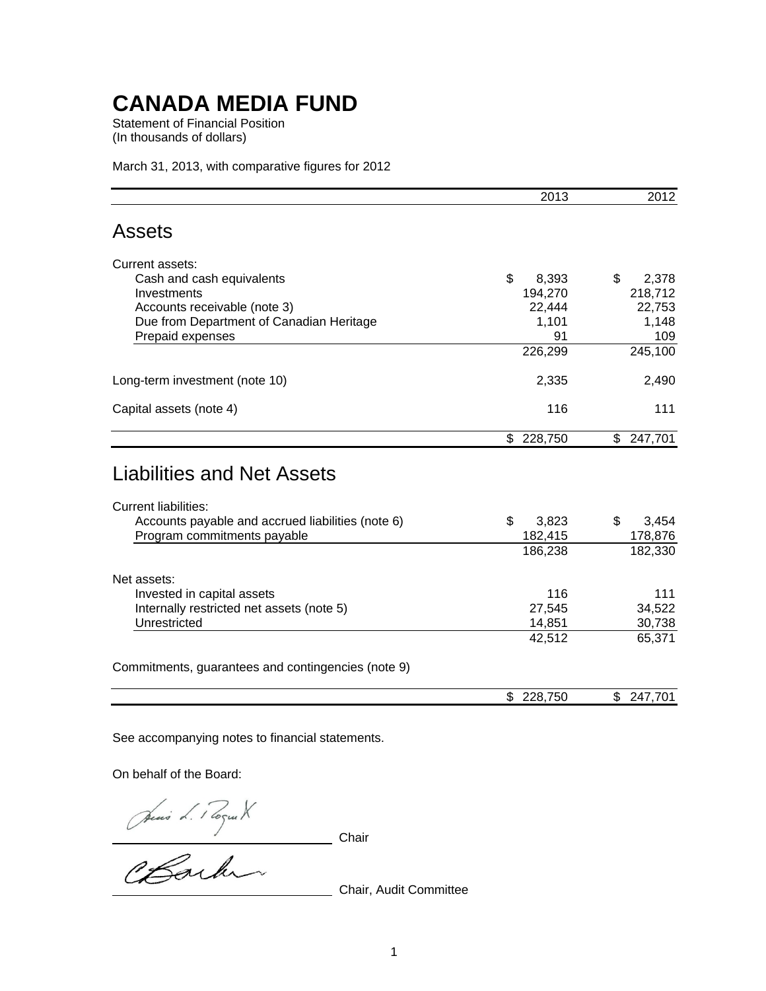Statement of Financial Position (In thousands of dollars)

March 31, 2013, with comparative figures for 2012

|                                                    | 2013        | 2012        |
|----------------------------------------------------|-------------|-------------|
| <b>Assets</b>                                      |             |             |
| Current assets:                                    |             |             |
| Cash and cash equivalents                          | \$<br>8,393 | \$<br>2,378 |
| Investments                                        | 194,270     | 218,712     |
| Accounts receivable (note 3)                       | 22,444      | 22,753      |
| Due from Department of Canadian Heritage           | 1,101       | 1,148       |
| Prepaid expenses                                   | 91          | 109         |
|                                                    | 226,299     | 245,100     |
| Long-term investment (note 10)                     | 2,335       | 2,490       |
| Capital assets (note 4)                            | 116         | 111         |
|                                                    | \$228,750   | \$247,701   |
|                                                    |             |             |
| <b>Liabilities and Net Assets</b>                  |             |             |
| <b>Current liabilities:</b>                        |             |             |
| Accounts payable and accrued liabilities (note 6)  | \$<br>3,823 | 3,454<br>\$ |
| Program commitments payable                        | 182,415     | 178,876     |
|                                                    | 186,238     | 182,330     |
| Net assets:                                        |             |             |
| Invested in capital assets                         | 116         | 111         |
| Internally restricted net assets (note 5)          | 27,545      | 34,522      |
| Unrestricted                                       | 14,851      | 30,738      |
|                                                    | 42,512      | 65,371      |
| Commitments, guarantees and contingencies (note 9) |             |             |

See accompanying notes to financial statements.

On behalf of the Board:

Juis L. Moguell

Chair, Audit Committee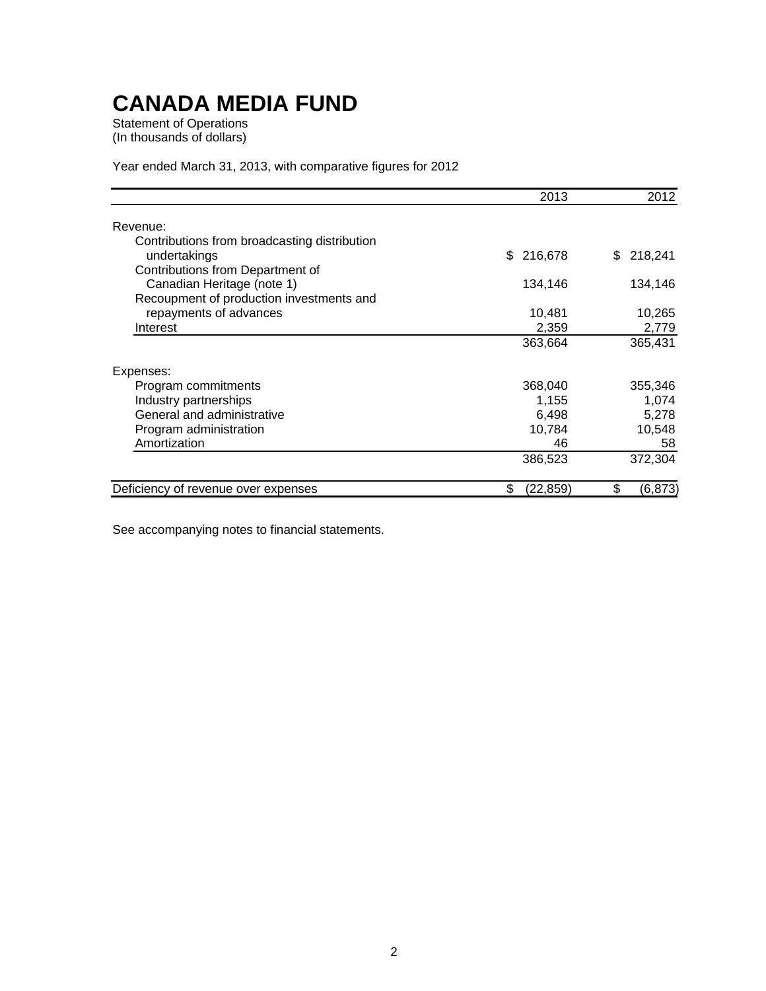Statement of Operations (In thousands of dollars)

Year ended March 31, 2013, with comparative figures for 2012

|                                              | 2013            | 2012           |
|----------------------------------------------|-----------------|----------------|
| Revenue:                                     |                 |                |
|                                              |                 |                |
| Contributions from broadcasting distribution |                 |                |
| undertakings                                 | \$216,678       | 218,241<br>\$. |
| Contributions from Department of             |                 |                |
| Canadian Heritage (note 1)                   | 134,146         | 134,146        |
| Recoupment of production investments and     |                 |                |
| repayments of advances                       | 10,481          | 10,265         |
| Interest                                     | 2,359           | 2,779          |
|                                              | 363,664         | 365,431        |
| Expenses:                                    |                 |                |
| Program commitments                          | 368,040         | 355,346        |
| Industry partnerships                        | 1,155           | 1,074          |
| General and administrative                   | 6,498           | 5,278          |
| Program administration                       | 10,784          | 10,548         |
| Amortization                                 | 46              | 58             |
|                                              | 386,523         | 372,304        |
| Deficiency of revenue over expenses          | \$<br>(22, 859) | \$<br>(6,873)  |

See accompanying notes to financial statements.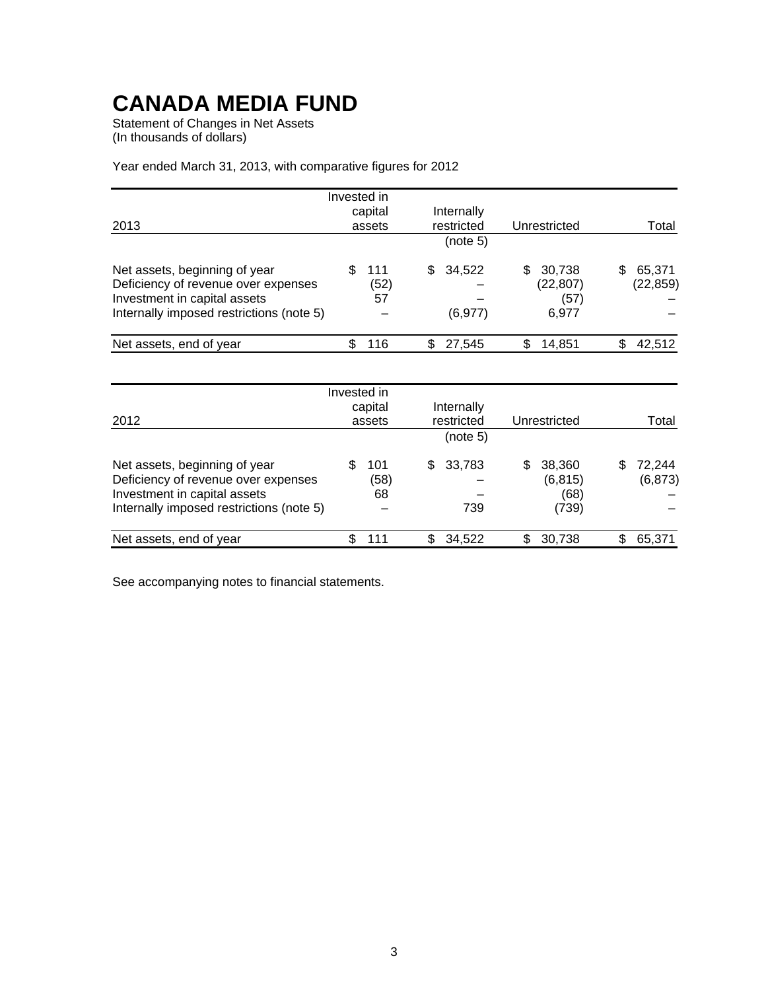Statement of Changes in Net Assets (In thousands of dollars)

Year ended March 31, 2013, with comparative figures for 2012

|                                          | Invested in |         |              |              |              |
|------------------------------------------|-------------|---------|--------------|--------------|--------------|
|                                          |             | capital | Internally   |              |              |
| 2013                                     |             | assets  | restricted   | Unrestricted | Total        |
|                                          |             |         | (note 5)     |              |              |
| Net assets, beginning of year            | \$.         | 111     | \$<br>34,522 | \$<br>30,738 | \$<br>65,371 |
| Deficiency of revenue over expenses      |             | (52)    |              | (22, 807)    | (22, 859)    |
| Investment in capital assets             |             | 57      |              | (57)         |              |
| Internally imposed restrictions (note 5) |             |         | (6, 977)     | 6,977        |              |
| Net assets, end of year                  | \$          | 116     | \$<br>27,545 | \$<br>14,851 | \$<br>42,512 |
|                                          |             |         |              |              |              |
|                                          | Invested in |         |              |              |              |
|                                          |             | capital | Internally   |              |              |
| 2012                                     |             | assets  | restricted   | Unrestricted | Total        |
|                                          |             |         | (note 5)     |              |              |
| Net assets, beginning of year            | \$.         | 101     | \$<br>33,783 | \$<br>38,360 | \$<br>72,244 |
| Deficiency of revenue over expenses      |             | (58)    |              | (6, 815)     | (6, 873)     |
| Investment in capital assets             |             | 68      |              | (68)         |              |
| Internally imposed restrictions (note 5) |             |         | 739          | (739)        |              |
| Net assets, end of year                  | \$.         | 111     | \$<br>34,522 | \$<br>30,738 | \$<br>65,371 |

See accompanying notes to financial statements.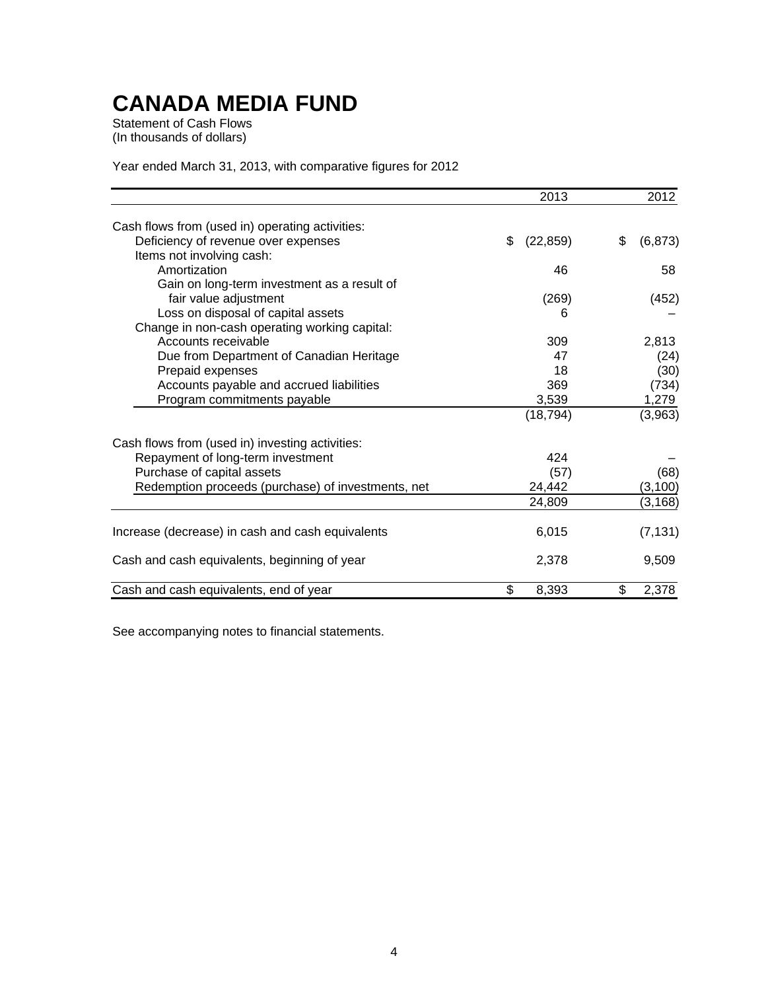Statement of Cash Flows (In thousands of dollars)

Year ended March 31, 2013, with comparative figures for 2012

|                                                    | 2013            | 2012           |
|----------------------------------------------------|-----------------|----------------|
| Cash flows from (used in) operating activities:    |                 |                |
| Deficiency of revenue over expenses                | \$<br>(22, 859) | (6, 873)<br>\$ |
| Items not involving cash:                          |                 |                |
| Amortization                                       | 46              | 58             |
| Gain on long-term investment as a result of        |                 |                |
| fair value adjustment                              | (269)           | (452)          |
| Loss on disposal of capital assets                 | 6               |                |
| Change in non-cash operating working capital:      |                 |                |
| Accounts receivable                                | 309             | 2,813          |
| Due from Department of Canadian Heritage           | 47              | (24)           |
| Prepaid expenses                                   | 18              | (30)           |
| Accounts payable and accrued liabilities           | 369             | (734)          |
| Program commitments payable                        | 3,539           | 1,279          |
|                                                    | (18, 794)       | (3,963)        |
| Cash flows from (used in) investing activities:    |                 |                |
| Repayment of long-term investment                  | 424             |                |
| Purchase of capital assets                         | (57)            | (68)           |
| Redemption proceeds (purchase) of investments, net | 24,442          | (3, 100)       |
|                                                    | 24,809          | (3, 168)       |
| Increase (decrease) in cash and cash equivalents   | 6,015           | (7, 131)       |
|                                                    |                 |                |
| Cash and cash equivalents, beginning of year       | 2,378           | 9,509          |
| Cash and cash equivalents, end of year             | \$<br>8,393     | \$<br>2,378    |

See accompanying notes to financial statements.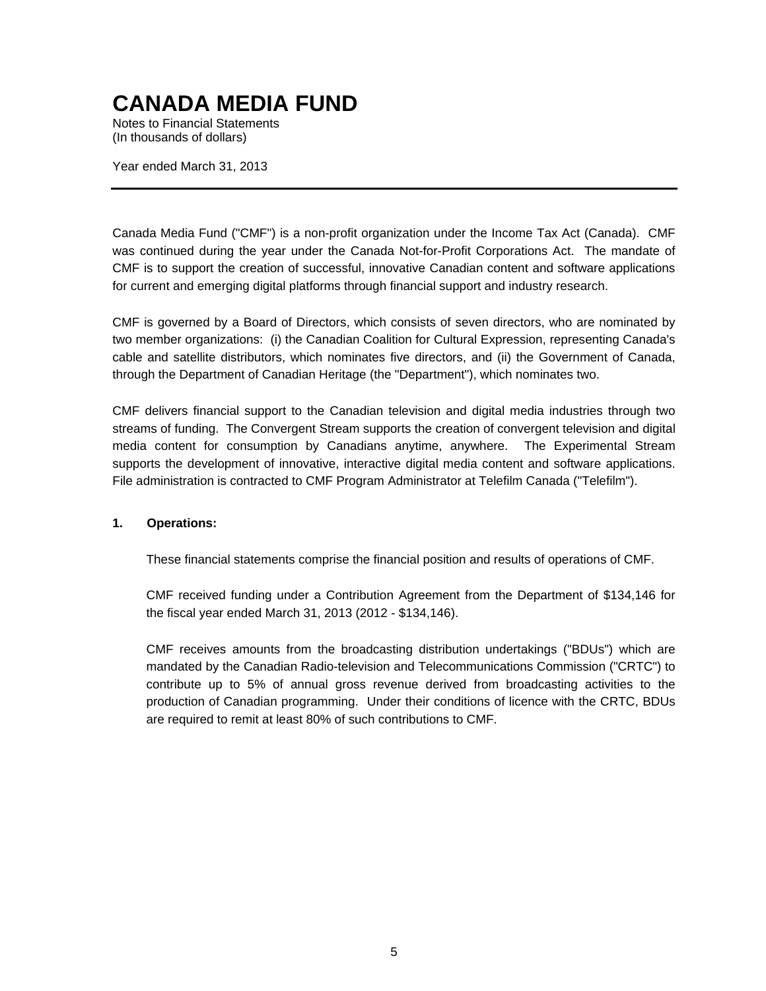Notes to Financial Statements (In thousands of dollars)

Year ended March 31, 2013

Canada Media Fund ("CMF") is a non-profit organization under the Income Tax Act (Canada). CMF was continued during the year under the Canada Not-for-Profit Corporations Act. The mandate of CMF is to support the creation of successful, innovative Canadian content and software applications for current and emerging digital platforms through financial support and industry research.

CMF is governed by a Board of Directors, which consists of seven directors, who are nominated by two member organizations: (i) the Canadian Coalition for Cultural Expression, representing Canada's cable and satellite distributors, which nominates five directors, and (ii) the Government of Canada, through the Department of Canadian Heritage (the "Department"), which nominates two.

CMF delivers financial support to the Canadian television and digital media industries through two streams of funding. The Convergent Stream supports the creation of convergent television and digital media content for consumption by Canadians anytime, anywhere. The Experimental Stream supports the development of innovative, interactive digital media content and software applications. File administration is contracted to CMF Program Administrator at Telefilm Canada ("Telefilm").

#### **1. Operations:**

These financial statements comprise the financial position and results of operations of CMF.

CMF received funding under a Contribution Agreement from the Department of \$134,146 for the fiscal year ended March 31, 2013 (2012 - \$134,146).

CMF receives amounts from the broadcasting distribution undertakings ("BDUs") which are mandated by the Canadian Radio-television and Telecommunications Commission ("CRTC") to contribute up to 5% of annual gross revenue derived from broadcasting activities to the production of Canadian programming. Under their conditions of licence with the CRTC, BDUs are required to remit at least 80% of such contributions to CMF.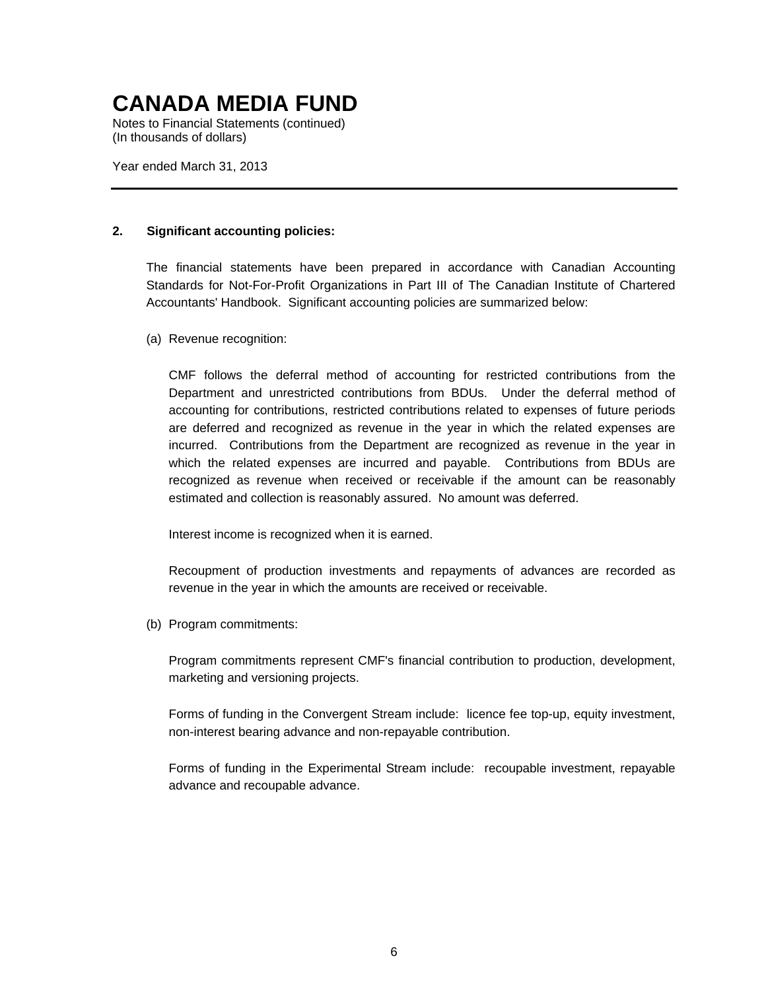Notes to Financial Statements (continued) (In thousands of dollars)

Year ended March 31, 2013

#### **2. Significant accounting policies:**

The financial statements have been prepared in accordance with Canadian Accounting Standards for Not-For-Profit Organizations in Part III of The Canadian Institute of Chartered Accountants' Handbook. Significant accounting policies are summarized below:

(a) Revenue recognition:

CMF follows the deferral method of accounting for restricted contributions from the Department and unrestricted contributions from BDUs. Under the deferral method of accounting for contributions, restricted contributions related to expenses of future periods are deferred and recognized as revenue in the year in which the related expenses are incurred. Contributions from the Department are recognized as revenue in the year in which the related expenses are incurred and payable. Contributions from BDUs are recognized as revenue when received or receivable if the amount can be reasonably estimated and collection is reasonably assured. No amount was deferred.

Interest income is recognized when it is earned.

Recoupment of production investments and repayments of advances are recorded as revenue in the year in which the amounts are received or receivable.

(b) Program commitments:

Program commitments represent CMF's financial contribution to production, development, marketing and versioning projects.

Forms of funding in the Convergent Stream include: licence fee top-up, equity investment, non-interest bearing advance and non-repayable contribution.

Forms of funding in the Experimental Stream include: recoupable investment, repayable advance and recoupable advance.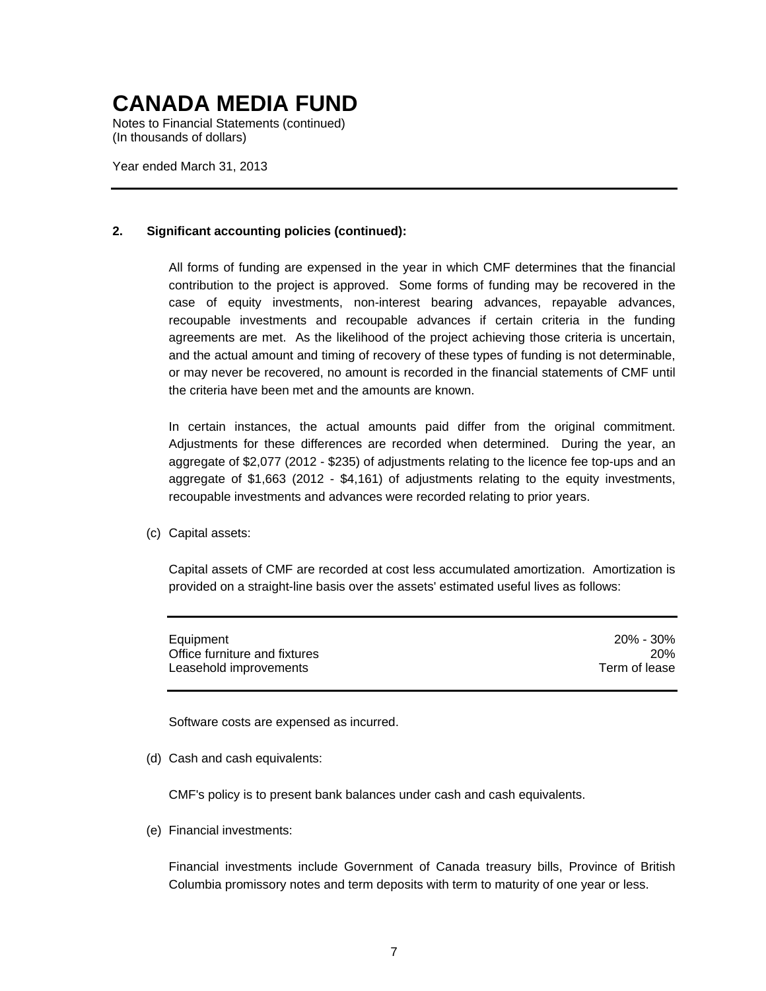Notes to Financial Statements (continued) (In thousands of dollars)

Year ended March 31, 2013

#### **2. Significant accounting policies (continued):**

All forms of funding are expensed in the year in which CMF determines that the financial contribution to the project is approved. Some forms of funding may be recovered in the case of equity investments, non-interest bearing advances, repayable advances, recoupable investments and recoupable advances if certain criteria in the funding agreements are met. As the likelihood of the project achieving those criteria is uncertain, and the actual amount and timing of recovery of these types of funding is not determinable, or may never be recovered, no amount is recorded in the financial statements of CMF until the criteria have been met and the amounts are known.

In certain instances, the actual amounts paid differ from the original commitment. Adjustments for these differences are recorded when determined. During the year, an aggregate of \$2,077 (2012 - \$235) of adjustments relating to the licence fee top-ups and an aggregate of \$1,663 (2012 - \$4,161) of adjustments relating to the equity investments, recoupable investments and advances were recorded relating to prior years.

#### (c) Capital assets:

Capital assets of CMF are recorded at cost less accumulated amortization. Amortization is provided on a straight-line basis over the assets' estimated useful lives as follows:

| Eauipment                     | 20% - 30%     |
|-------------------------------|---------------|
| Office furniture and fixtures | 20%           |
| Leasehold improvements        | Term of lease |

Software costs are expensed as incurred.

(d) Cash and cash equivalents:

CMF's policy is to present bank balances under cash and cash equivalents.

(e) Financial investments:

Financial investments include Government of Canada treasury bills, Province of British Columbia promissory notes and term deposits with term to maturity of one year or less.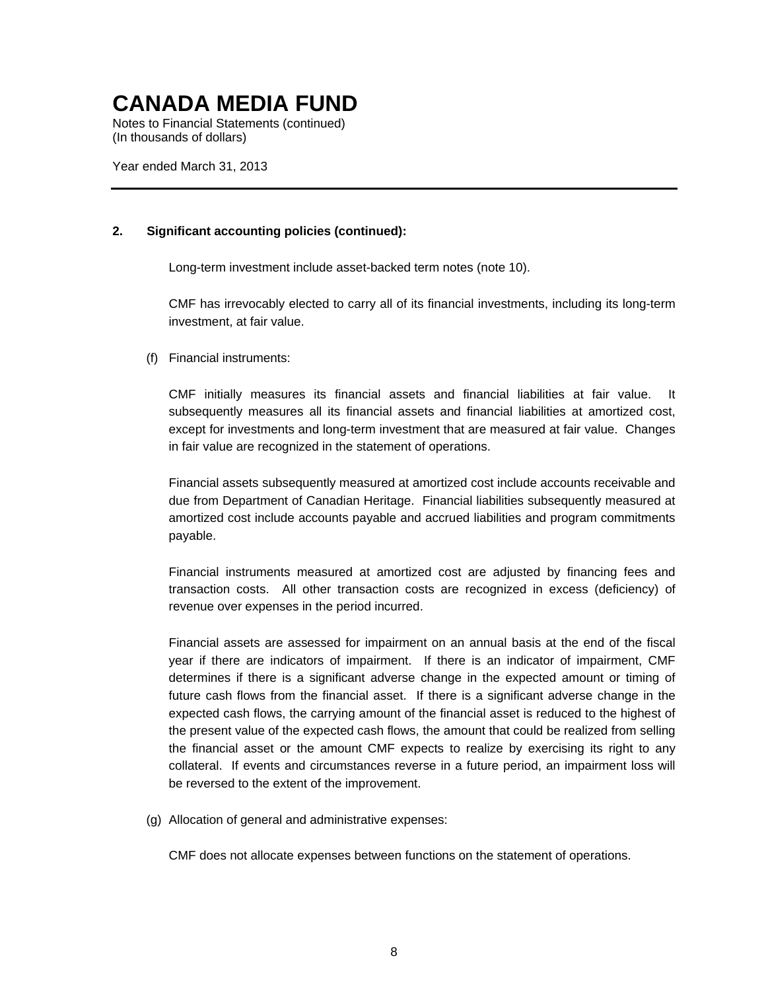Notes to Financial Statements (continued) (In thousands of dollars)

Year ended March 31, 2013

### **2. Significant accounting policies (continued):**

Long-term investment include asset-backed term notes (note 10).

CMF has irrevocably elected to carry all of its financial investments, including its long-term investment, at fair value.

(f) Financial instruments:

CMF initially measures its financial assets and financial liabilities at fair value. It subsequently measures all its financial assets and financial liabilities at amortized cost, except for investments and long-term investment that are measured at fair value. Changes in fair value are recognized in the statement of operations.

Financial assets subsequently measured at amortized cost include accounts receivable and due from Department of Canadian Heritage. Financial liabilities subsequently measured at amortized cost include accounts payable and accrued liabilities and program commitments payable.

Financial instruments measured at amortized cost are adjusted by financing fees and transaction costs. All other transaction costs are recognized in excess (deficiency) of revenue over expenses in the period incurred.

Financial assets are assessed for impairment on an annual basis at the end of the fiscal year if there are indicators of impairment. If there is an indicator of impairment, CMF determines if there is a significant adverse change in the expected amount or timing of future cash flows from the financial asset. If there is a significant adverse change in the expected cash flows, the carrying amount of the financial asset is reduced to the highest of the present value of the expected cash flows, the amount that could be realized from selling the financial asset or the amount CMF expects to realize by exercising its right to any collateral. If events and circumstances reverse in a future period, an impairment loss will be reversed to the extent of the improvement.

(g) Allocation of general and administrative expenses:

CMF does not allocate expenses between functions on the statement of operations.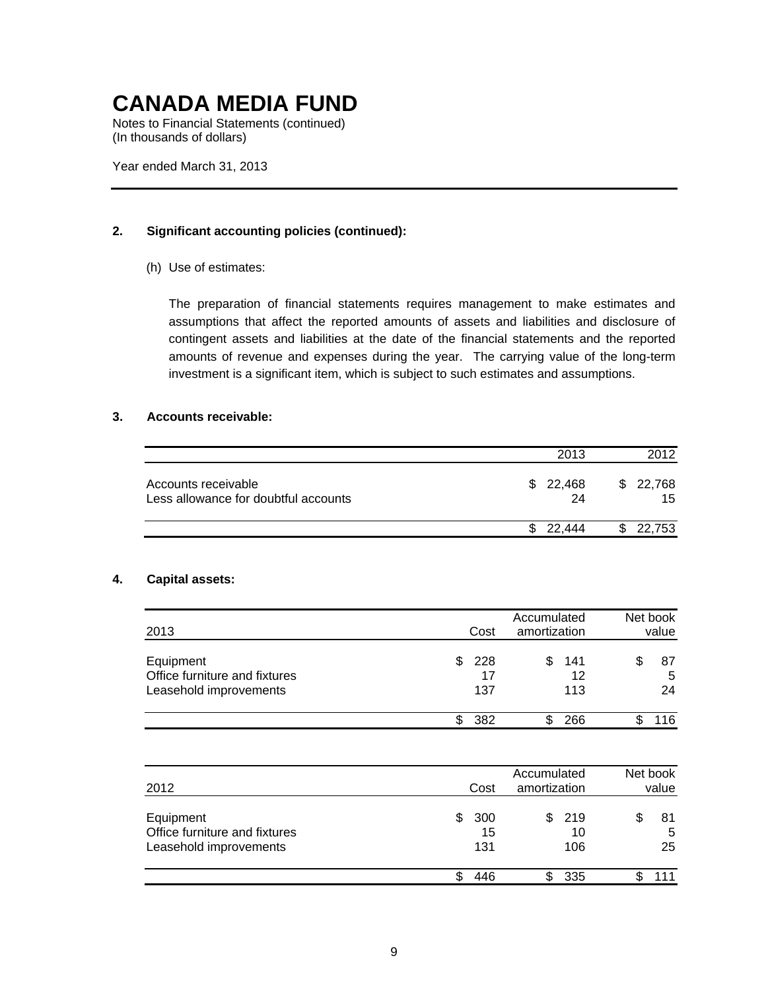Notes to Financial Statements (continued) (In thousands of dollars)

Year ended March 31, 2013

### **2. Significant accounting policies (continued):**

(h) Use of estimates:

The preparation of financial statements requires management to make estimates and assumptions that affect the reported amounts of assets and liabilities and disclosure of contingent assets and liabilities at the date of the financial statements and the reported amounts of revenue and expenses during the year. The carrying value of the long-term investment is a significant item, which is subject to such estimates and assumptions.

#### **3. Accounts receivable:**

|                                                             | 2013           | 2012           |
|-------------------------------------------------------------|----------------|----------------|
| Accounts receivable<br>Less allowance for doubtful accounts | \$22,468<br>24 | \$22,768<br>15 |
|                                                             | \$<br>22.444   | 22,753         |

#### **4. Capital assets:**

| 2013                                                                 |     | Cost              | Accumulated<br>amortization |                  | Net book<br>value |
|----------------------------------------------------------------------|-----|-------------------|-----------------------------|------------------|-------------------|
| Equipment<br>Office furniture and fixtures<br>Leasehold improvements | SS. | -228<br>17<br>137 | SS.                         | 141<br>12<br>113 | 87<br>5<br>24     |
|                                                                      |     | 382               | .ፍ                          | 266              | ∣16               |

| 2012                                                                 | Cost                   | Accumulated<br>amortization | Net book<br>value |
|----------------------------------------------------------------------|------------------------|-----------------------------|-------------------|
| Equipment<br>Office furniture and fixtures<br>Leasehold improvements | \$<br>300<br>15<br>131 | 219<br>S.<br>10<br>106      | 81<br>5<br>25     |
|                                                                      | 446                    | 335                         |                   |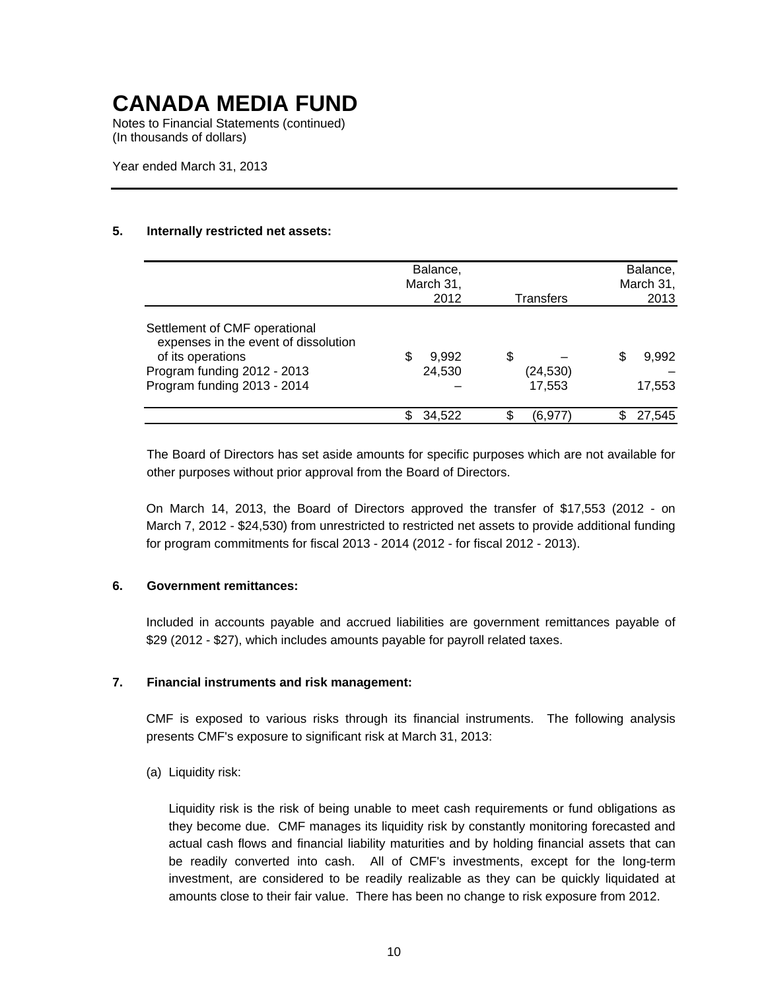Notes to Financial Statements (continued) (In thousands of dollars)

Year ended March 31, 2013

### **5. Internally restricted net assets:**

|                                                                                                                                                          |   | Balance,<br>March 31,<br>2012 | <b>Transfers</b>         |   | Balance,<br>March 31,<br>2013 |
|----------------------------------------------------------------------------------------------------------------------------------------------------------|---|-------------------------------|--------------------------|---|-------------------------------|
| Settlement of CMF operational<br>expenses in the event of dissolution<br>of its operations<br>Program funding 2012 - 2013<br>Program funding 2013 - 2014 | S | 9,992<br>24,530               | \$<br>(24,530)<br>17,553 | S | 9,992<br>17,553               |
|                                                                                                                                                          |   | 34,522                        | (6,977                   |   | 27.545                        |

The Board of Directors has set aside amounts for specific purposes which are not available for other purposes without prior approval from the Board of Directors.

On March 14, 2013, the Board of Directors approved the transfer of \$17,553 (2012 - on March 7, 2012 - \$24,530) from unrestricted to restricted net assets to provide additional funding for program commitments for fiscal 2013 - 2014 (2012 - for fiscal 2012 - 2013).

#### **6. Government remittances:**

Included in accounts payable and accrued liabilities are government remittances payable of \$29 (2012 - \$27), which includes amounts payable for payroll related taxes.

#### **7. Financial instruments and risk management:**

CMF is exposed to various risks through its financial instruments. The following analysis presents CMF's exposure to significant risk at March 31, 2013:

(a) Liquidity risk:

Liquidity risk is the risk of being unable to meet cash requirements or fund obligations as they become due. CMF manages its liquidity risk by constantly monitoring forecasted and actual cash flows and financial liability maturities and by holding financial assets that can be readily converted into cash. All of CMF's investments, except for the long-term investment, are considered to be readily realizable as they can be quickly liquidated at amounts close to their fair value. There has been no change to risk exposure from 2012.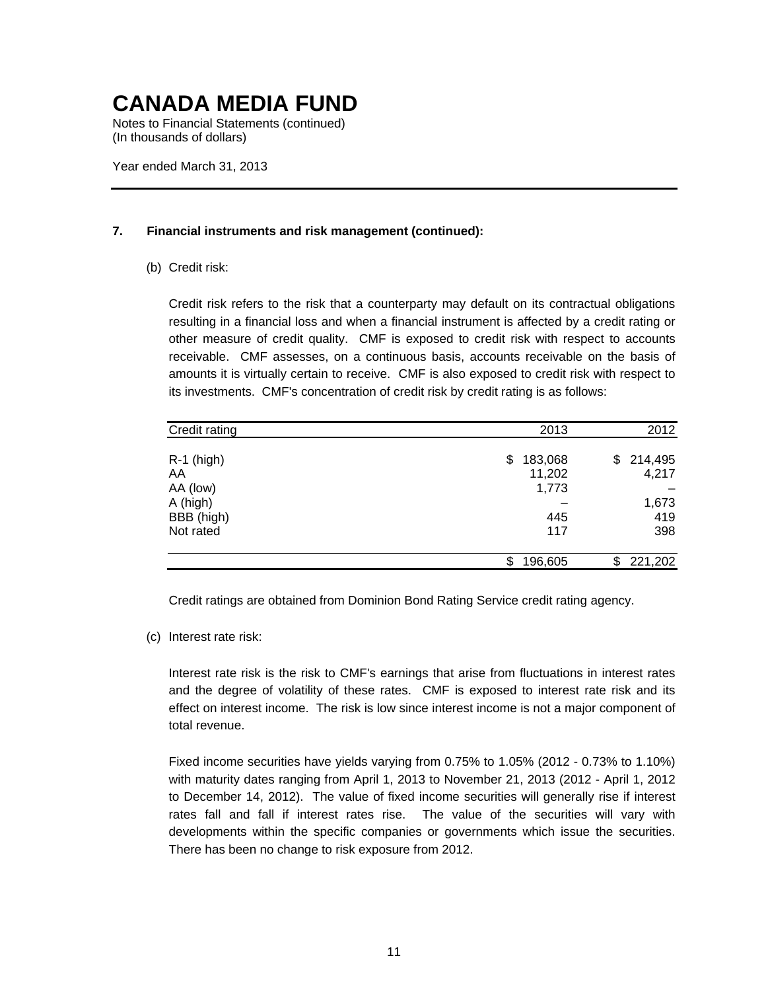Notes to Financial Statements (continued) (In thousands of dollars)

Year ended March 31, 2013

### **7. Financial instruments and risk management (continued):**

(b) Credit risk:

Credit risk refers to the risk that a counterparty may default on its contractual obligations resulting in a financial loss and when a financial instrument is affected by a credit rating or other measure of credit quality. CMF is exposed to credit risk with respect to accounts receivable. CMF assesses, on a continuous basis, accounts receivable on the basis of amounts it is virtually certain to receive. CMF is also exposed to credit risk with respect to its investments. CMF's concentration of credit risk by credit rating is as follows:

| Credit rating | 2013          | 2012          |
|---------------|---------------|---------------|
|               |               |               |
| $R-1$ (high)  | 183,068<br>\$ | \$214,495     |
| AA            | 11,202        | 4,217         |
| AA (low)      | 1,773         |               |
| A (high)      |               | 1,673         |
| BBB (high)    | 445           | 419           |
| Not rated     | 117           | 398           |
|               | 196,605<br>\$ | 221,202<br>\$ |

Credit ratings are obtained from Dominion Bond Rating Service credit rating agency.

(c) Interest rate risk:

Interest rate risk is the risk to CMF's earnings that arise from fluctuations in interest rates and the degree of volatility of these rates. CMF is exposed to interest rate risk and its effect on interest income. The risk is low since interest income is not a major component of total revenue.

Fixed income securities have yields varying from 0.75% to 1.05% (2012 - 0.73% to 1.10%) with maturity dates ranging from April 1, 2013 to November 21, 2013 (2012 - April 1, 2012 to December 14, 2012). The value of fixed income securities will generally rise if interest rates fall and fall if interest rates rise. The value of the securities will vary with developments within the specific companies or governments which issue the securities. There has been no change to risk exposure from 2012.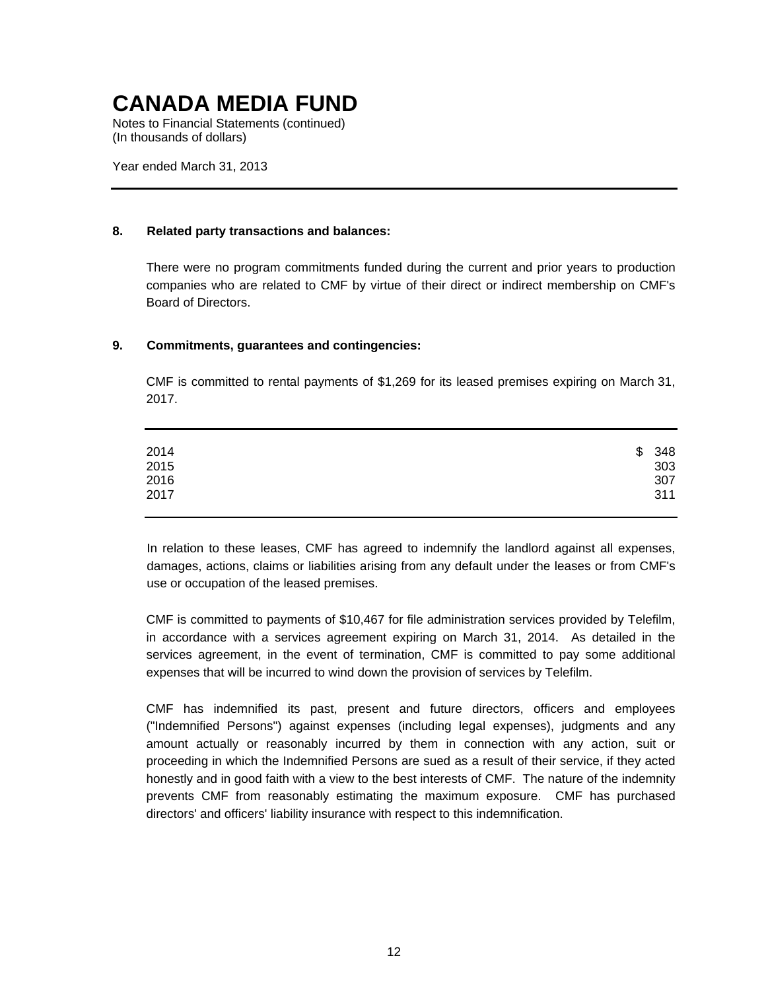Notes to Financial Statements (continued) (In thousands of dollars)

Year ended March 31, 2013

#### **8. Related party transactions and balances:**

There were no program commitments funded during the current and prior years to production companies who are related to CMF by virtue of their direct or indirect membership on CMF's Board of Directors.

#### **9. Commitments, guarantees and contingencies:**

CMF is committed to rental payments of \$1,269 for its leased premises expiring on March 31, 2017.

| 2014 | \$348 |
|------|-------|
| 2015 | 303   |
| 2016 | 307   |
| 2017 | 311   |
|      |       |

In relation to these leases, CMF has agreed to indemnify the landlord against all expenses, damages, actions, claims or liabilities arising from any default under the leases or from CMF's use or occupation of the leased premises.

CMF is committed to payments of \$10,467 for file administration services provided by Telefilm, in accordance with a services agreement expiring on March 31, 2014. As detailed in the services agreement, in the event of termination, CMF is committed to pay some additional expenses that will be incurred to wind down the provision of services by Telefilm.

CMF has indemnified its past, present and future directors, officers and employees ("Indemnified Persons") against expenses (including legal expenses), judgments and any amount actually or reasonably incurred by them in connection with any action, suit or proceeding in which the Indemnified Persons are sued as a result of their service, if they acted honestly and in good faith with a view to the best interests of CMF. The nature of the indemnity prevents CMF from reasonably estimating the maximum exposure. CMF has purchased directors' and officers' liability insurance with respect to this indemnification.